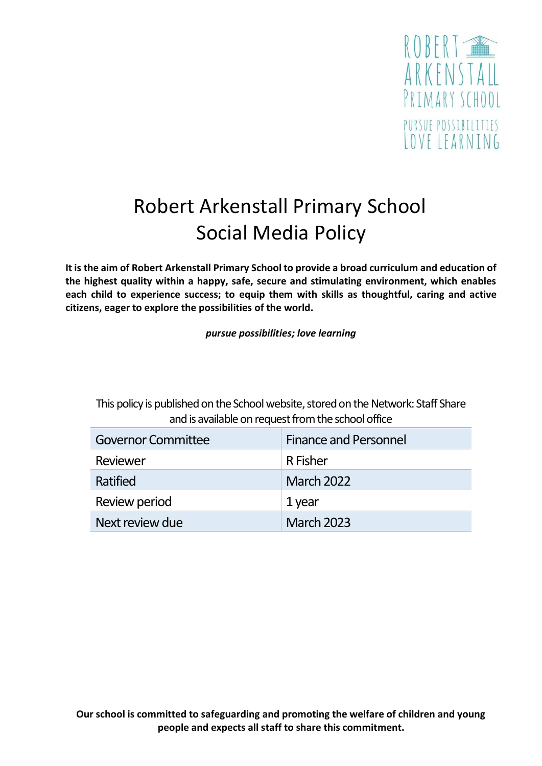

# Robert Arkenstall Primary School Social Media Policy

**It is the aim of Robert Arkenstall Primary School to provide a broad curriculum and education of the highest quality within a happy, safe, secure and stimulating environment, which enables each child to experience success; to equip them with skills as thoughtful, caring and active citizens, eager to explore the possibilities of the world.**

*pursue possibilities; love learning*

This policy is published on the School website, stored on the Network: Staff Share and is available on request from the school office

| <b>Governor Committee</b> | <b>Finance and Personnel</b> |
|---------------------------|------------------------------|
| Reviewer                  | R Fisher                     |
| Ratified                  | <b>March 2022</b>            |
| Review period             | 1 year                       |
| Next review due           | <b>March 2023</b>            |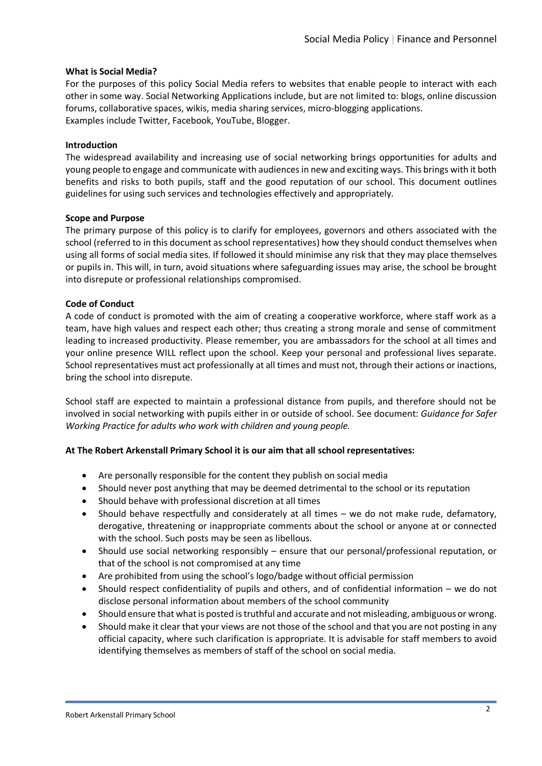#### **What is Social Media?**

For the purposes of this policy Social Media refers to websites that enable people to interact with each other in some way. Social Networking Applications include, but are not limited to: blogs, online discussion forums, collaborative spaces, wikis, media sharing services, micro-blogging applications. Examples include Twitter, Facebook, YouTube, Blogger.

#### **Introduction**

The widespread availability and increasing use of social networking brings opportunities for adults and young people to engage and communicate with audiencesin new and exciting ways. This brings with it both benefits and risks to both pupils, staff and the good reputation of our school. This document outlines guidelines for using such services and technologies effectively and appropriately.

#### **Scope and Purpose**

The primary purpose of this policy is to clarify for employees, governors and others associated with the school (referred to in this document as school representatives) how they should conduct themselves when using all forms of social media sites. If followed it should minimise any risk that they may place themselves or pupils in. This will, in turn, avoid situations where safeguarding issues may arise, the school be brought into disrepute or professional relationships compromised.

#### **Code of Conduct**

A code of conduct is promoted with the aim of creating a cooperative workforce, where staff work as a team, have high values and respect each other; thus creating a strong morale and sense of commitment leading to increased productivity. Please remember, you are ambassadors for the school at all times and your online presence WILL reflect upon the school. Keep your personal and professional lives separate. School representatives must act professionally at all times and must not, through their actions or inactions, bring the school into disrepute.

School staff are expected to maintain a professional distance from pupils, and therefore should not be involved in social networking with pupils either in or outside of school. See document: *Guidance for Safer Working Practice for adults who work with children and young people.* 

## **At The Robert Arkenstall Primary School it is our aim that all school representatives:**

- Are personally responsible for the content they publish on social media
- Should never post anything that may be deemed detrimental to the school or its reputation
- Should behave with professional discretion at all times
- Should behave respectfully and considerately at all times we do not make rude, defamatory, derogative, threatening or inappropriate comments about the school or anyone at or connected with the school. Such posts may be seen as libellous.
- Should use social networking responsibly ensure that our personal/professional reputation, or that of the school is not compromised at any time
- Are prohibited from using the school's logo/badge without official permission
- Should respect confidentiality of pupils and others, and of confidential information we do not disclose personal information about members of the school community
- Should ensure that what is posted is truthful and accurate and not misleading, ambiguous or wrong.
- Should make it clear that your views are not those of the school and that you are not posting in any official capacity, where such clarification is appropriate. It is advisable for staff members to avoid identifying themselves as members of staff of the school on social media.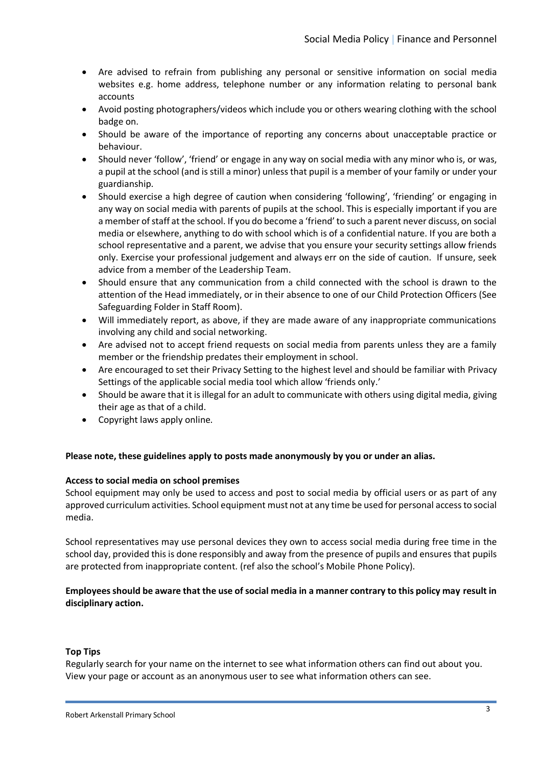- Are advised to refrain from publishing any personal or sensitive information on social media websites e.g. home address, telephone number or any information relating to personal bank accounts
- Avoid posting photographers/videos which include you or others wearing clothing with the school badge on.
- Should be aware of the importance of reporting any concerns about unacceptable practice or behaviour.
- Should never 'follow', 'friend' or engage in any way on social media with any minor who is, or was, a pupil at the school (and is still a minor) unless that pupil is a member of your family or under your guardianship.
- Should exercise a high degree of caution when considering 'following', 'friending' or engaging in any way on social media with parents of pupils at the school. This is especially important if you are a member of staff at the school. If you do become a 'friend' to such a parent never discuss, on social media or elsewhere, anything to do with school which is of a confidential nature. If you are both a school representative and a parent, we advise that you ensure your security settings allow friends only. Exercise your professional judgement and always err on the side of caution. If unsure, seek advice from a member of the Leadership Team.
- Should ensure that any communication from a child connected with the school is drawn to the attention of the Head immediately, or in their absence to one of our Child Protection Officers (See Safeguarding Folder in Staff Room).
- Will immediately report, as above, if they are made aware of any inappropriate communications involving any child and social networking.
- Are advised not to accept friend requests on social media from parents unless they are a family member or the friendship predates their employment in school.
- Are encouraged to set their Privacy Setting to the highest level and should be familiar with Privacy Settings of the applicable social media tool which allow 'friends only.'
- Should be aware that it is illegal for an adult to communicate with others using digital media, giving their age as that of a child.
- Copyright laws apply online.

## **Please note, these guidelines apply to posts made anonymously by you or under an alias.**

## **Access to social media on school premises**

School equipment may only be used to access and post to social media by official users or as part of any approved curriculum activities. School equipment must not at any time be used for personal access to social media.

School representatives may use personal devices they own to access social media during free time in the school day, provided this is done responsibly and away from the presence of pupils and ensures that pupils are protected from inappropriate content. (ref also the school's Mobile Phone Policy).

## **Employees should be aware that the use of social media in a manner contrary to this policy may result in disciplinary action.**

#### **Top Tips**

Regularly search for your name on the internet to see what information others can find out about you. View your page or account as an anonymous user to see what information others can see.